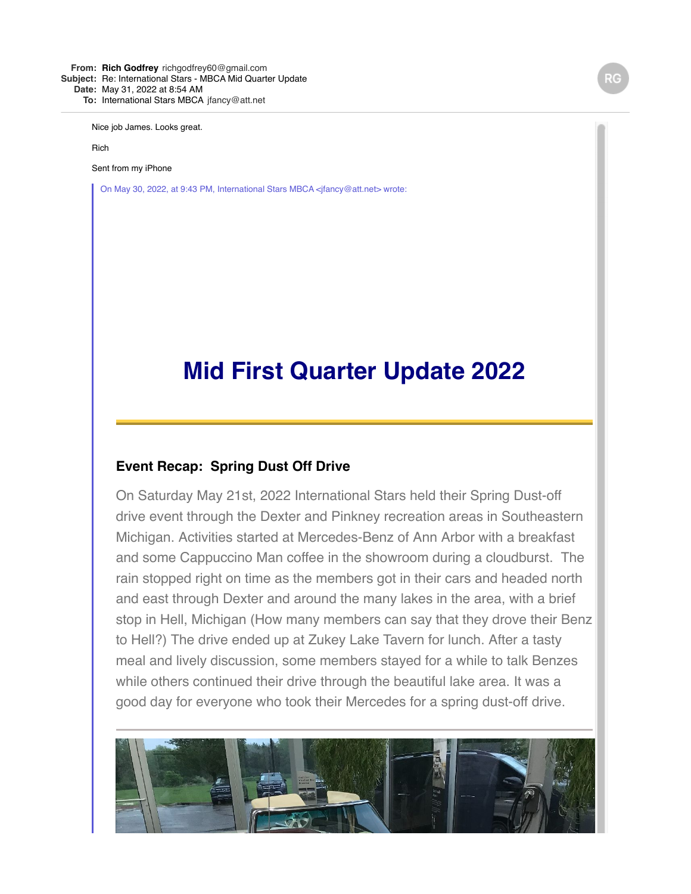**From: Rich [Godfrey](mailto:Godfreyrichgodfrey60@gmail.com)** [richgodfrey60@gmail.com](mailto:Godfreyrichgodfrey60@gmail.com) **Subject:** Re: International Stars - MBCA Mid Quarter Update **Date:** May 31, 2022 at 8:54 AM **To:** International Stars [MBCA](mailto:MBCAjfancy@att.net) [jfancy@att.net](mailto:MBCAjfancy@att.net)

Nice job James. Looks great.

Rich

Sent from my iPhone

On May 30, 2022, at 9:43 PM, International Stars MBCA <jfancy@att.net> wrote:

# **Mid First Quarter Update 2022**

#### **Event Recap: Spring Dust Off Drive**

On Saturday May 21st, 2022 International Stars held their Spring Dust-off drive event through the Dexter and Pinkney recreation areas in Southeastern Michigan. Activities started at Mercedes-Benz of Ann Arbor with a breakfast and some Cappuccino Man coffee in the showroom during a cloudburst. The rain stopped right on time as the members got in their cars and headed north and east through Dexter and around the many lakes in the area, with a brief stop in Hell, Michigan (How many members can say that they drove their Benz to Hell?) The drive ended up at Zukey Lake Tavern for lunch. After a tasty meal and lively discussion, some members stayed for a while to talk Benzes while others continued their drive through the beautiful lake area. It was a good day for everyone who took their Mercedes for a spring dust-off drive.

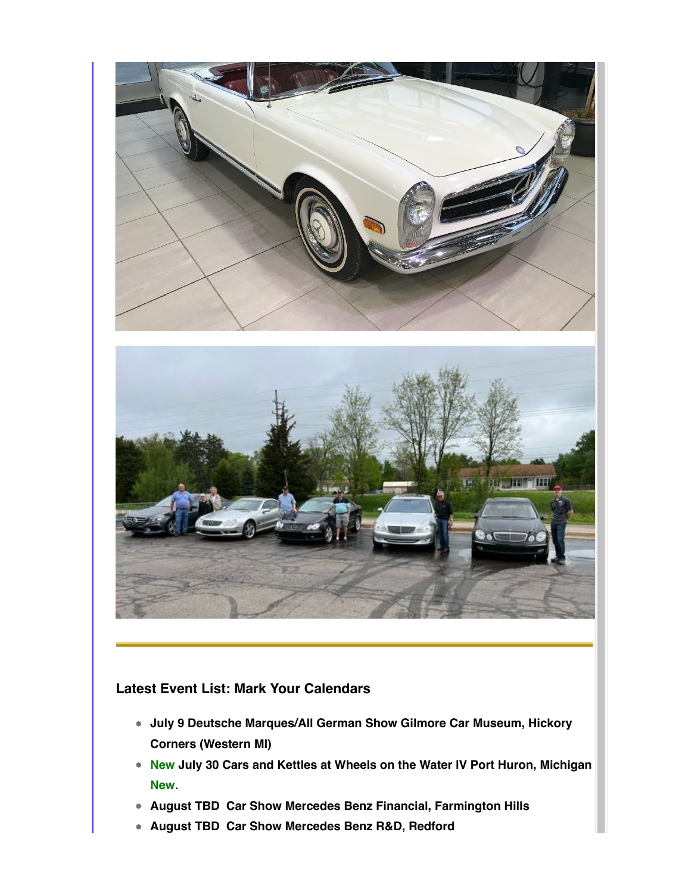

### **Latest Event List: Mark Your Calendars**

- **July 9 Deutsche Marques/All German Show Gilmore Car Museum, Hickory Corners (Western MI)**
- **New July 30 Cars and Kettles at Wheels on the Water lV Port Huron, Michigan New**.
- **August TBD Car Show Mercedes Benz Financial, Farmington Hills**
- **August TBD Car Show Mercedes Benz R&D, Redford**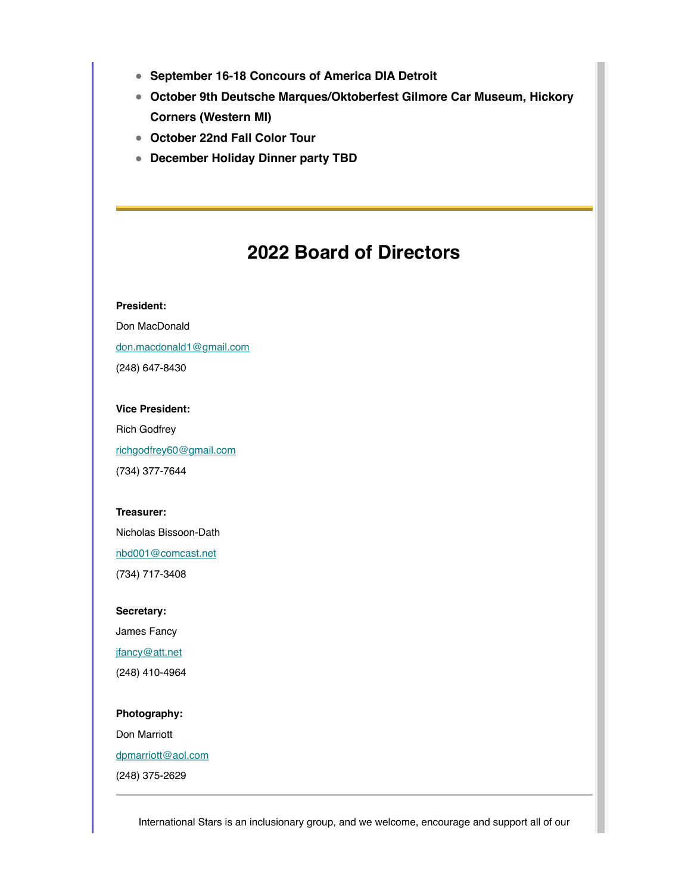- **September 16-18 Concours of America DIA Detroit**
- **October 9th Deutsche Marques/Oktoberfest Gilmore Car Museum, Hickory Corners (Western MI)**
- **October 22nd Fall Color Tour**
- **December Holiday Dinner party TBD**

## **2022 Board of Directors**

#### **President:**

Don MacDonald [don.macdonald1@gmail.com](mailto:don.macdonald1@gmail.com)

(248) 647-8430

#### **Vice President:**

Rich Godfrey [richgodfrey60@gmail.com](mailto:richgodfrey60@gmail.com) (734) 377-7644

#### **Treasurer:**

Nicholas Bissoon-Dath

[nbd001@comcast.net](mailto:nbd001@comcast.net)

(734) 717-3408

**Secretary:**

James Fancy

[jfancy@att.net](mailto:jfancy@att.net)

(248) 410-4964

#### **Photography:**

Don Marriott [dpmarriott@aol.com](mailto:dpmarriott@aol.com)

(248) 375-2629

International Stars is an inclusionary group, and we welcome, encourage and support all of our